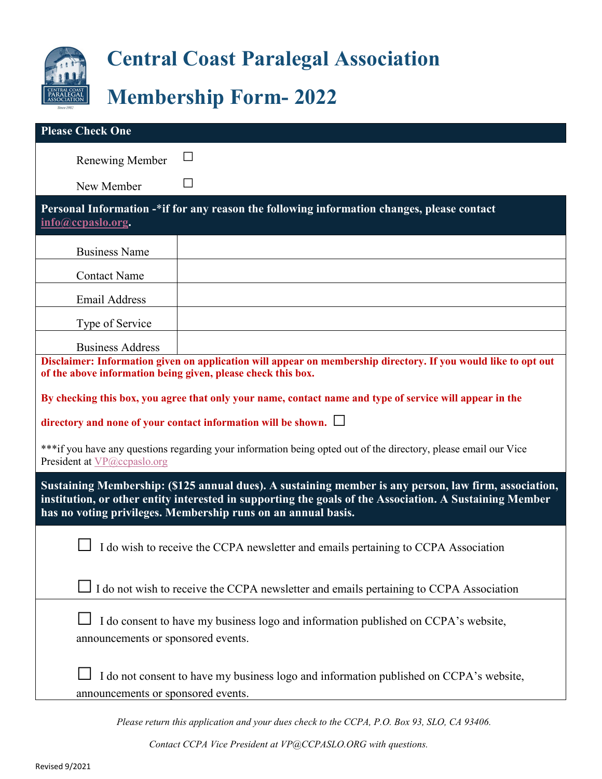

## **Central Coast Paralegal Association**

## **Membership Form- 2022**

| <b>Please Check One</b>                                                                                                                                                                                                                                                           |  |
|-----------------------------------------------------------------------------------------------------------------------------------------------------------------------------------------------------------------------------------------------------------------------------------|--|
| Renewing Member                                                                                                                                                                                                                                                                   |  |
| New Member                                                                                                                                                                                                                                                                        |  |
| Personal Information -*if for any reason the following information changes, please contact<br>info@ccpaslo.org.                                                                                                                                                                   |  |
| <b>Business Name</b>                                                                                                                                                                                                                                                              |  |
| <b>Contact Name</b>                                                                                                                                                                                                                                                               |  |
| <b>Email Address</b>                                                                                                                                                                                                                                                              |  |
| Type of Service                                                                                                                                                                                                                                                                   |  |
| <b>Business Address</b>                                                                                                                                                                                                                                                           |  |
| Disclaimer: Information given on application will appear on membership directory. If you would like to opt out<br>of the above information being given, please check this box.                                                                                                    |  |
| By checking this box, you agree that only your name, contact name and type of service will appear in the                                                                                                                                                                          |  |
| directory and none of your contact information will be shown. $\Box$                                                                                                                                                                                                              |  |
| ***if you have any questions regarding your information being opted out of the directory, please email our Vice<br>President at VP@ccpaslo.org                                                                                                                                    |  |
| Sustaining Membership: (\$125 annual dues). A sustaining member is any person, law firm, association,<br>institution, or other entity interested in supporting the goals of the Association. A Sustaining Member<br>has no voting privileges. Membership runs on an annual basis. |  |
| I do wish to receive the CCPA newsletter and emails pertaining to CCPA Association                                                                                                                                                                                                |  |
| I do not wish to receive the CCPA newsletter and emails pertaining to CCPA Association                                                                                                                                                                                            |  |
| I do consent to have my business logo and information published on CCPA's website,<br>announcements or sponsored events.                                                                                                                                                          |  |
| I do not consent to have my business logo and information published on CCPA's website,<br>announcements or sponsored events.                                                                                                                                                      |  |

*Please return this application and your dues check to the CCPA, P.O. Box 93, SLO, CA 93406.*

*Contact CCPA Vice Preside[nt at VP@CCPASLO.ORG](mailto:VP@CCPASLO.ORG) with questions.*